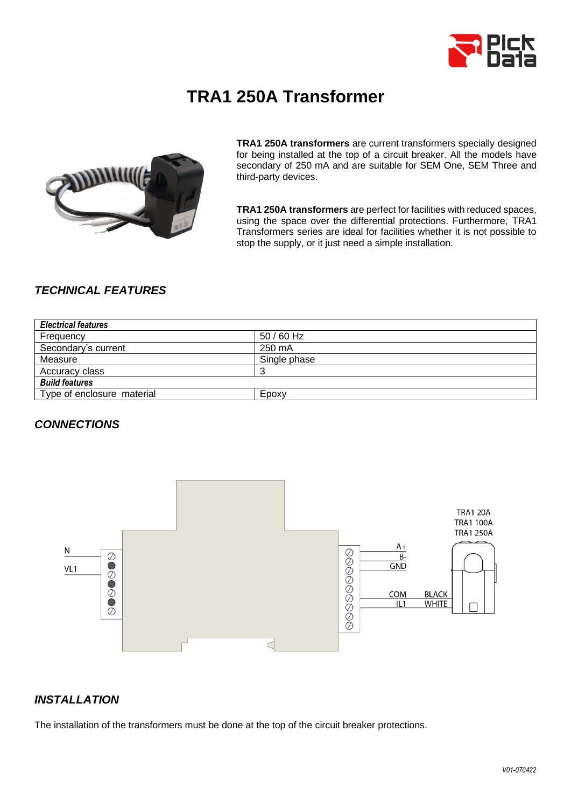

# **TRA1 250A Transformer**



**TRA1 250A transformers** are current transformers specially designed for being installed at the top of a circuit breaker. All the models have secondary of 250 mA and are suitable for SEM One, SEM Three and third-party devices.

**TRA1 250A transformers** are perfect for facilities with reduced spaces, using the space over the differential protections. Furthermore, TRA1 Transformers series are ideal for facilities whether it is not possible to stop the supply, or it just need a simple installation.

# *TECHNICAL FEATURES*

| <b>Electrical features</b> |              |  |
|----------------------------|--------------|--|
| Frequency                  | 50 / 60 Hz   |  |
| Secondary's current        | 250 mA       |  |
| Measure                    | Single phase |  |
| Accuracy class             |              |  |
| <b>Build features</b>      |              |  |
| Type of enclosure material | Epoxy        |  |

#### *CONNECTIONS*



#### *INSTALLATION*

The installation of the transformers must be done at the top of the circuit breaker protections.